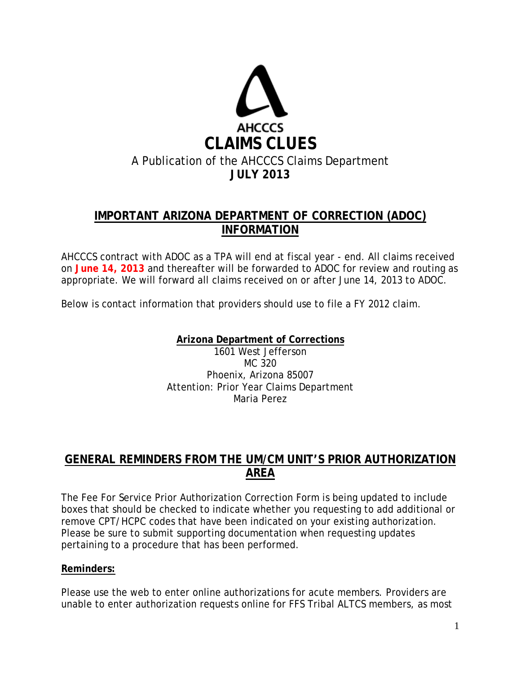

## **IMPORTANT ARIZONA DEPARTMENT OF CORRECTION (ADOC) INFORMATION**

AHCCCS contract with ADOC as a TPA will end at fiscal year - end. All claims received on **June 14, 2013** and thereafter will be forwarded to ADOC for review and routing as appropriate. We will forward all claims received on or after June 14, 2013 to ADOC.

Below is contact information that providers should use to file a FY 2012 claim.

**Arizona Department of Corrections** 1601 West Jefferson MC 320 Phoenix, Arizona 85007 Attention: Prior Year Claims Department

Maria Perez

### **GENERAL REMINDERS FROM THE UM/CM UNIT'S PRIOR AUTHORIZATION AREA**

The Fee For Service Prior Authorization Correction Form is being updated to include boxes that should be checked to indicate whether you requesting to add additional or remove CPT/HCPC codes that have been indicated on your existing authorization. Please be sure to submit supporting documentation when requesting updates pertaining to a procedure that has been performed.

### **Reminders:**

Please use the web to enter online authorizations for acute members. Providers are unable to enter authorization requests online for FFS Tribal ALTCS members, as most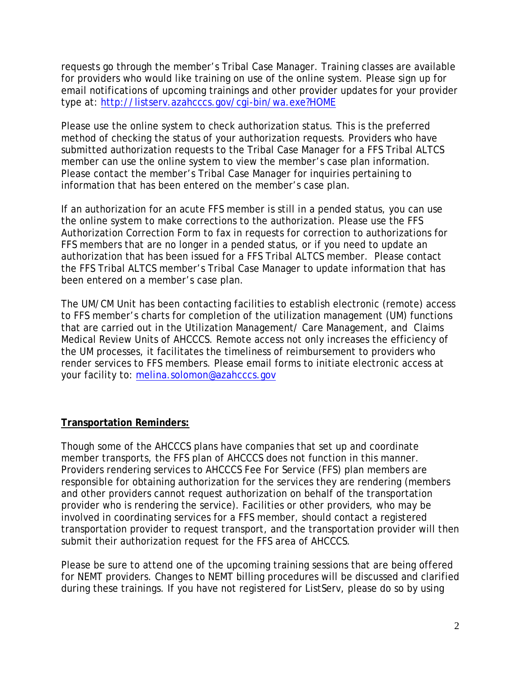requests go through the member's Tribal Case Manager. Training classes are available for providers who would like training on use of the online system. Please sign up for email notifications of upcoming trainings and other provider updates for your provider type at:<http://listserv.azahcccs.gov/cgi-bin/wa.exe?HOME>

Please use the online system to check authorization status. This is the preferred method of checking the status of your authorization requests. Providers who have submitted authorization requests to the Tribal Case Manager for a FFS Tribal ALTCS member can use the online system to view the member's case plan information. Please contact the member's Tribal Case Manager for inquiries pertaining to information that has been entered on the member's case plan.

If an authorization for an acute FFS member is still in a pended status, you can use the online system to make corrections to the authorization. Please use the FFS Authorization Correction Form to fax in requests for correction to authorizations for FFS members that are no longer in a pended status, or if you need to update an authorization that has been issued for a FFS Tribal ALTCS member. Please contact the FFS Tribal ALTCS member's Tribal Case Manager to update information that has been entered on a member's case plan.

The UM/CM Unit has been contacting facilities to establish electronic (remote) access to FFS member's charts for completion of the utilization management (UM) functions that are carried out in the Utilization Management/ Care Management, and Claims Medical Review Units of AHCCCS. Remote access not only increases the efficiency of the UM processes, it facilitates the timeliness of reimbursement to providers who render services to FFS members. Please email forms to initiate electronic access at your facility to: [melina.solomon@azahcccs.gov](mailto:melina.solomon@azahcccs.gov)

### **Transportation Reminders:**

Though some of the AHCCCS plans have companies that set up and coordinate member transports, the FFS plan of AHCCCS does not function in this manner. Providers rendering services to AHCCCS Fee For Service (FFS) plan members are responsible for obtaining authorization for the services they are rendering (members and other providers cannot request authorization on behalf of the transportation provider who is rendering the service). Facilities or other providers, who may be involved in coordinating services for a FFS member, should contact a registered transportation provider to request transport, and the transportation provider will then submit their authorization request for the FFS area of AHCCCS.

Please be sure to attend one of the upcoming training sessions that are being offered for NEMT providers. Changes to NEMT billing procedures will be discussed and clarified during these trainings. If you have not registered for ListServ, please do so by using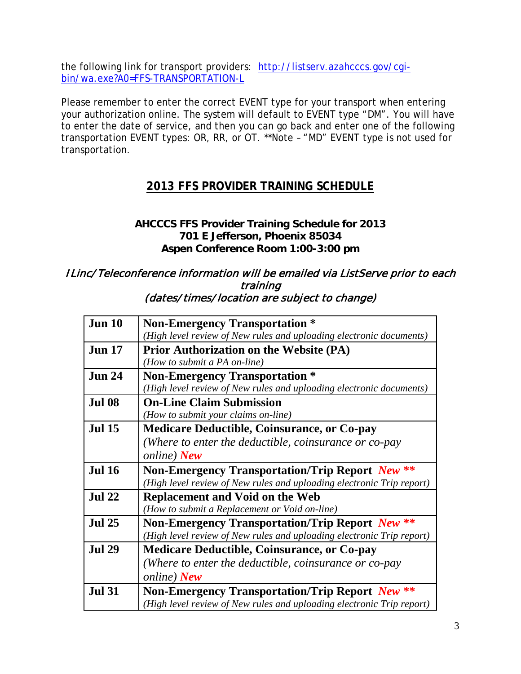the following link for transport providers: [http://listserv.azahcccs.gov/cgi](http://listserv.azahcccs.gov/cgi-bin/wa.exe?A0=FFS-TRANSPORTATION-L)[bin/wa.exe?A0=FFS-TRANSPORTATION-L](http://listserv.azahcccs.gov/cgi-bin/wa.exe?A0=FFS-TRANSPORTATION-L)

Please remember to enter the correct EVENT type for your transport when entering your authorization online. The system will default to EVENT type "DM". You will have to enter the date of service, and then you can go back and enter one of the following transportation EVENT types: OR, RR, or OT. \*\*Note – "MD" EVENT type is not used for transportation.

# **2013 FFS PROVIDER TRAINING SCHEDULE**

### **AHCCCS FFS Provider Training Schedule for 2013 701 E Jefferson, Phoenix 85034 Aspen Conference Room 1:00-3:00 pm**

#### ILinc/ Teleconference information will be emailed via ListServe prior to each training (dates/times/location are subject to change)

| <b>Jun 10</b> | <b>Non-Emergency Transportation *</b>                                 |
|---------------|-----------------------------------------------------------------------|
|               | (High level review of New rules and uploading electronic documents)   |
| <b>Jun 17</b> | <b>Prior Authorization on the Website (PA)</b>                        |
|               | (How to submit a PA on-line)                                          |
| <b>Jun 24</b> | <b>Non-Emergency Transportation *</b>                                 |
|               | (High level review of New rules and uploading electronic documents)   |
| <b>Jul 08</b> | <b>On-Line Claim Submission</b>                                       |
|               | (How to submit your claims on-line)                                   |
| <b>Jul 15</b> | <b>Medicare Deductible, Coinsurance, or Co-pay</b>                    |
|               | (Where to enter the deductible, coinsurance or co-pay                 |
|               | online) New                                                           |
| <b>Jul 16</b> | <b>Non-Emergency Transportation/Trip Report New **</b>                |
|               | (High level review of New rules and uploading electronic Trip report) |
| <b>Jul 22</b> | <b>Replacement and Void on the Web</b>                                |
|               | (How to submit a Replacement or Void on-line)                         |
| <b>Jul 25</b> | <b>Non-Emergency Transportation/Trip Report New **</b>                |
|               | (High level review of New rules and uploading electronic Trip report) |
| <b>Jul 29</b> | <b>Medicare Deductible, Coinsurance, or Co-pay</b>                    |
|               | (Where to enter the deductible, coinsurance or co-pay                 |
|               | online) New                                                           |
| <b>Jul 31</b> | <b>Non-Emergency Transportation/Trip Report New **</b>                |
|               | (High level review of New rules and uploading electronic Trip report) |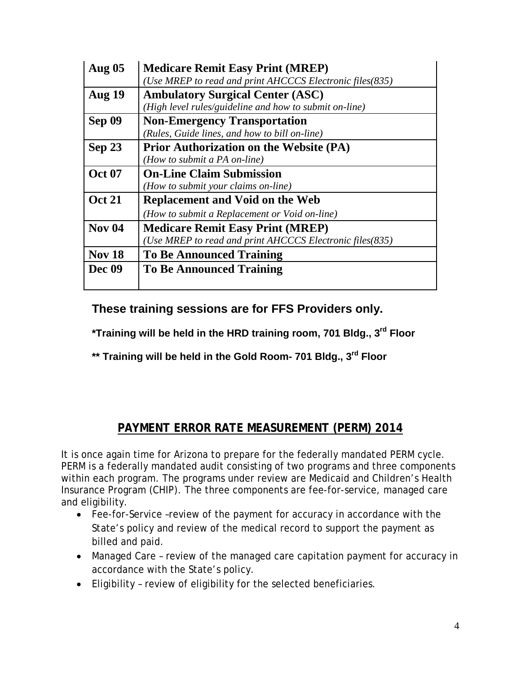| <b>Aug 05</b> | <b>Medicare Remit Easy Print (MREP)</b>                  |
|---------------|----------------------------------------------------------|
|               | (Use MREP to read and print AHCCCS Electronic files(835) |
| <b>Aug 19</b> | <b>Ambulatory Surgical Center (ASC)</b>                  |
|               | (High level rules/guideline and how to submit on-line)   |
| Sep 09        | <b>Non-Emergency Transportation</b>                      |
|               | (Rules, Guide lines, and how to bill on-line)            |
| Sep 23        | <b>Prior Authorization on the Website (PA)</b>           |
|               | (How to submit a PA on-line)                             |
| <b>Oct 07</b> | <b>On-Line Claim Submission</b>                          |
|               | (How to submit your claims on-line)                      |
| <b>Oct 21</b> | <b>Replacement and Void on the Web</b>                   |
|               | (How to submit a Replacement or Void on-line)            |
| <b>Nov 04</b> | <b>Medicare Remit Easy Print (MREP)</b>                  |
|               | (Use MREP to read and print AHCCCS Electronic files(835) |
| <b>Nov 18</b> | <b>To Be Announced Training</b>                          |
| Dec 09        | <b>To Be Announced Training</b>                          |
|               |                                                          |

**These training sessions are for FFS Providers only.**

**\*Training will be held in the HRD training room, 701 Bldg., 3rd Floor**

**\*\* Training will be held in the Gold Room- 701 Bldg., 3rd Floor**

# **PAYMENT ERROR RATE MEASUREMENT (PERM) 2014**

It is once again time for Arizona to prepare for the federally mandated PERM cycle. PERM is a federally mandated audit consisting of two programs and three components within each program. The programs under review are Medicaid and Children's Health Insurance Program (CHIP). The three components are fee-for-service, managed care and eligibility.

- Fee-for-Service –review of the payment for accuracy in accordance with the State's policy and review of the medical record to support the payment as billed and paid.
- Managed Care review of the managed care capitation payment for accuracy in accordance with the State's policy.
- Eligibility review of eligibility for the selected beneficiaries.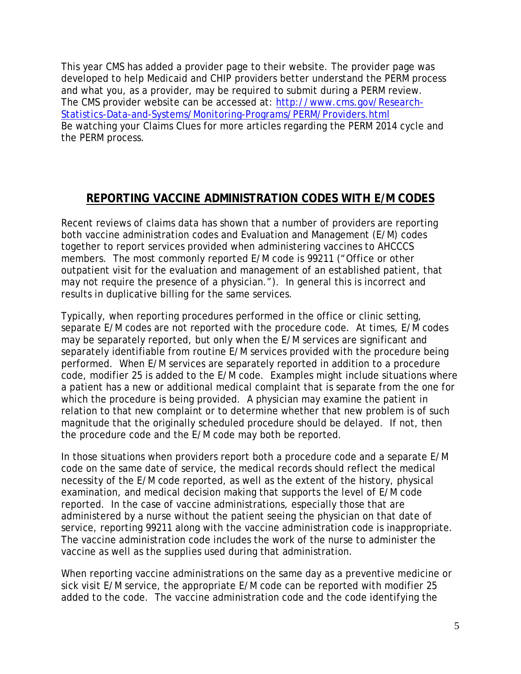This year CMS has added a provider page to their website. The provider page was developed to help Medicaid and CHIP providers better understand the PERM process and what you, as a provider, may be required to submit during a PERM review. The CMS provider website can be accessed at: [http://www.cms.gov/Research-](http://www.cms.gov/Research-Statistics-Data-and-Systems/Monitoring-Programs/PERM/Providers.html)[Statistics-Data-and-Systems/Monitoring-Programs/PERM/Providers.html](http://www.cms.gov/Research-Statistics-Data-and-Systems/Monitoring-Programs/PERM/Providers.html) Be watching your Claims Clues for more articles regarding the PERM 2014 cycle and the PERM process.

### **REPORTING VACCINE ADMINISTRATION CODES WITH E/M CODES**

Recent reviews of claims data has shown that a number of providers are reporting both vaccine administration codes and Evaluation and Management (E/M) codes together to report services provided when administering vaccines to AHCCCS members. The most commonly reported E/M code is 99211 ("Office or other outpatient visit for the evaluation and management of an established patient, that may not require the presence of a physician."). In general this is incorrect and results in duplicative billing for the same services.

Typically, when reporting procedures performed in the office or clinic setting, separate E/M codes are not reported with the procedure code. At times, E/M codes may be separately reported, but only when the E/M services are significant and separately identifiable from routine E/M services provided with the procedure being performed. When E/M services are separately reported in addition to a procedure code, modifier 25 is added to the E/M code. Examples might include situations where a patient has a new or additional medical complaint that is separate from the one for which the procedure is being provided. A physician may examine the patient in relation to that new complaint or to determine whether that new problem is of such magnitude that the originally scheduled procedure should be delayed. If not, then the procedure code and the E/M code may both be reported.

In those situations when providers report both a procedure code and a separate E/M code on the same date of service, the medical records should reflect the medical necessity of the E/M code reported, as well as the extent of the history, physical examination, and medical decision making that supports the level of E/M code reported. In the case of vaccine administrations, especially those that are administered by a nurse without the patient seeing the physician on that date of service, reporting 99211 along with the vaccine administration code is inappropriate. The vaccine administration code includes the work of the nurse to administer the vaccine as well as the supplies used during that administration.

When reporting vaccine administrations on the same day as a preventive medicine or sick visit E/M service, the appropriate E/M code can be reported with modifier 25 added to the code. The vaccine administration code and the code identifying the